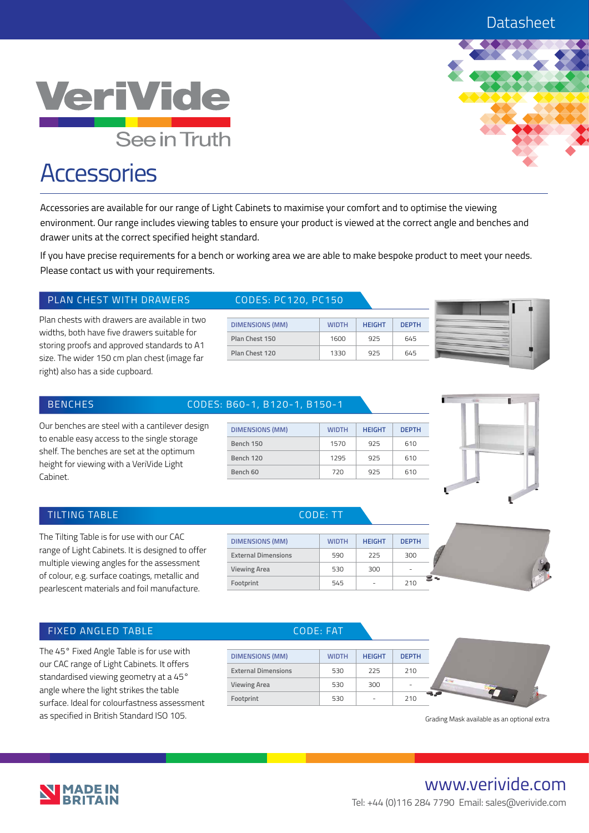

# **Accessories**

Accessories are available for our range of Light Cabinets to maximise your comfort and to optimise the viewing environment. Our range includes viewing tables to ensure your product is viewed at the correct angle and benches and drawer units at the correct specified height standard.

If you have precise requirements for a bench or working area we are able to make bespoke product to meet your needs. Please contact us with your requirements.

## PLAN CHEST WITH DRAWERS CODES: PC120, PC150

Plan chests with drawers are available in two widths, both have five drawers suitable for storing proofs and approved standards to A1 size. The wider 150 cm plan chest (image far right) also has a side cupboard.

| <b>DIMENSIONS (MM)</b> | <b>WIDTH</b> | <b>HEIGHT</b> | <b>DEPTH</b> |
|------------------------|--------------|---------------|--------------|
| Plan Chest 150         | 1600         | 975           | 645          |
| Plan Chest 120         | 1330         | 975           | 645          |



BENCHES CODES: B60-1, B120-1, B150-1

| Our benches are steel with a cantilever design |
|------------------------------------------------|
| to enable easy access to the single storage    |
| shelf. The benches are set at the optimum      |
| height for viewing with a VeriVide Light       |
| Cabinet.                                       |

| <b>DIMENSIONS (MM)</b> | <b>WIDTH</b> | <b>HFIGHT</b> | <b>DEPTH</b> |
|------------------------|--------------|---------------|--------------|
| Bench 150              | 1570         | 925           | 610          |
| Bench 120              | 1295         | 925           | 610          |
| Bench 60               | 720          | 925           | 610          |



## TILTING TABLE CODE: TT

The Tilting Table is for use with our CAC range of Light Cabinets. It is designed to offer multiple viewing angles for the assessment of colour, e.g. surface coatings, metallic and pearlescent materials and foil manufacture.

| <b>DIMENSIONS (MM)</b>     | <b>WIDTH</b> | <b>HEIGHT</b> | <b>DEPTH</b> |      |
|----------------------------|--------------|---------------|--------------|------|
| <b>External Dimensions</b> | 590          | 225           | 300          |      |
| <b>Viewing Area</b>        | 530          | 300           |              |      |
| Footprint                  | 545          |               | 210          | ≍ -ം |

### FIXED ANGLED TABLE CODE: FAT

The 45° Fixed Angle Table is for use with our CAC range of Light Cabinets. It offers standardised viewing geometry at a 45° angle where the light strikes the table surface. Ideal for colourfastness assessment as specified in British Standard ISO 105.

| <b>DIMENSIONS (MM)</b>     | <b>WIDTH</b> | <b>HEIGHT</b> | <b>DEPTH</b> |
|----------------------------|--------------|---------------|--------------|
| <b>External Dimensions</b> | 530          | 225           | 210          |
| <b>Viewing Area</b>        | 530          | 300           | -            |
| Footprint                  | 530          |               | 210          |

Grading Mask available as an optional extra



## www.verivide.com Tel: +44 (0)116 284 7790 Email: sales@verivide.com